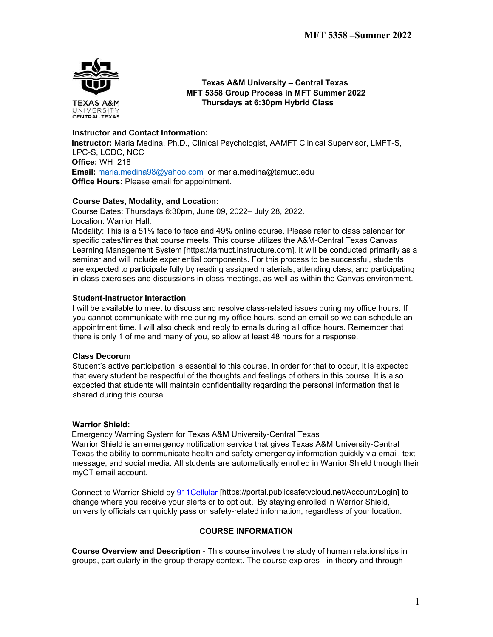

 **Texas A&M University – Central Texas MFT 5358 Group Process in MFT Summer 2022 Thursdays at 6:30pm Hybrid Class**

# **Instructor and Contact Information:**

**Instructor:** Maria Medina, Ph.D., Clinical Psychologist, AAMFT Clinical Supervisor, LMFT-S, LPC-S, LCDC, NCC **Office:** WH 218 **Email:** [maria.medina98@yahoo.com](mailto:maria.medina98@yahoo.com) or maria.medina@tamuct.edu **Office Hours:** Please email for appointment.

#### **Course Dates, Modality, and Location:**

Course Dates: Thursdays 6:30pm, June 09, 2022– July 28, 2022. Location: Warrior Hall.

Modality: This is a 51% face to face and 49% online course. Please refer to class calendar for specific dates/times that course meets. This course utilizes the A&M-Central Texas Canvas Learning Management System [https://tamuct.instructure.com]. It will be conducted primarily as a seminar and will include experiential components. For this process to be successful, students are expected to participate fully by reading assigned materials, attending class, and participating in class exercises and discussions in class meetings, as well as within the Canvas environment.

# **Student-Instructor Interaction**

I will be available to meet to discuss and resolve class-related issues during my office hours. If you cannot communicate with me during my office hours, send an email so we can schedule an appointment time. I will also check and reply to emails during all office hours. Remember that there is only 1 of me and many of you, so allow at least 48 hours for a response.

#### **Class Decorum**

Student's active participation is essential to this course. In order for that to occur, it is expected that every student be respectful of the thoughts and feelings of others in this course. It is also expected that students will maintain confidentiality regarding the personal information that is shared during this course.

#### **Warrior Shield:**

Emergency Warning System for Texas A&M University-Central Texas Warrior Shield is an emergency notification service that gives Texas A&M University-Central Texas the ability to communicate health and safety emergency information quickly via email, text message, and social media. All students are automatically enrolled in Warrior Shield through their myCT email account.

Connect to Warrior Shield by [911Cellular](https://portal.publicsafetycloud.net/Texas-AM-Central/alert-management) [https://portal.publicsafetycloud.net/Account/Login] to change where you receive your alerts or to opt out. By staying enrolled in Warrior Shield, university officials can quickly pass on safety-related information, regardless of your location.

# **COURSE INFORMATION**

**Course Overview and Description** - This course involves the study of human relationships in groups, particularly in the group therapy context. The course explores - in theory and through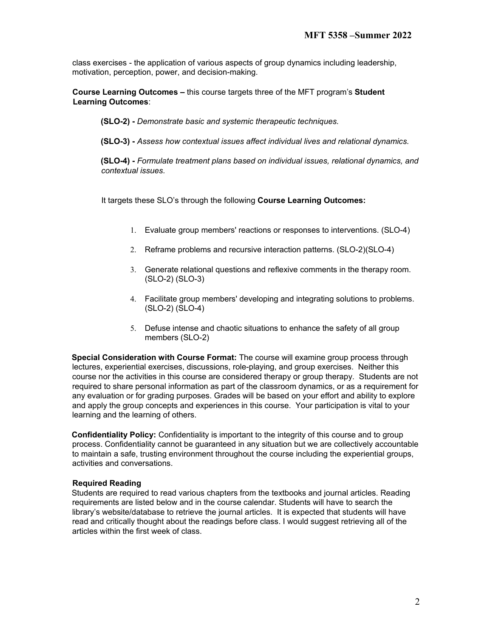class exercises - the application of various aspects of group dynamics including leadership, motivation, perception, power, and decision-making.

**Course Learning Outcomes –** this course targets three of the MFT program's **Student Learning Outcomes**:

**(SLO-2) -** *Demonstrate basic and systemic therapeutic techniques.* 

**(SLO-3) -** *Assess how contextual issues affect individual lives and relational dynamics.*

**(SLO-4) -** *Formulate treatment plans based on individual issues, relational dynamics, and contextual issues.*

It targets these SLO's through the following **Course Learning Outcomes:** 

- 1. Evaluate group members' reactions or responses to interventions. (SLO-4)
- 2. Reframe problems and recursive interaction patterns. (SLO-2)(SLO-4)
- 3. Generate relational questions and reflexive comments in the therapy room. (SLO-2) (SLO-3)
- 4. Facilitate group members' developing and integrating solutions to problems. (SLO-2) (SLO-4)
- 5. Defuse intense and chaotic situations to enhance the safety of all group members (SLO-2)

**Special Consideration with Course Format:** The course will examine group process through lectures, experiential exercises, discussions, role-playing, and group exercises. Neither this course nor the activities in this course are considered therapy or group therapy. Students are not required to share personal information as part of the classroom dynamics, or as a requirement for any evaluation or for grading purposes. Grades will be based on your effort and ability to explore and apply the group concepts and experiences in this course. Your participation is vital to your learning and the learning of others.

**Confidentiality Policy:** Confidentiality is important to the integrity of this course and to group process. Confidentiality cannot be guaranteed in any situation but we are collectively accountable to maintain a safe, trusting environment throughout the course including the experiential groups, activities and conversations.

#### **Required Reading**

Students are required to read various chapters from the textbooks and journal articles. Reading requirements are listed below and in the course calendar. Students will have to search the library's website/database to retrieve the journal articles. It is expected that students will have read and critically thought about the readings before class. I would suggest retrieving all of the articles within the first week of class.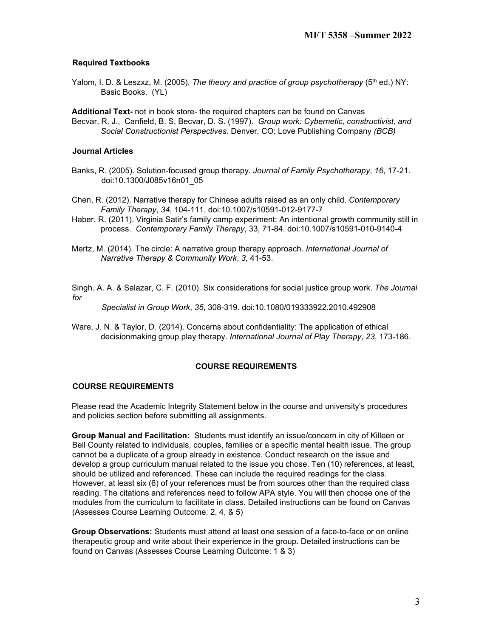# **Required Textbooks**

Yalom, I. D. & Leszxz, M. (2005). *The theory and practice of group psychotherapy* (5<sup>th</sup> ed.) NY: Basic Books. (YL)

**Additional Text-** not in book store- the required chapters can be found on Canvas Becvar, R. J., Canfield, B. S, Becvar, D. S. (1997). *Group work: Cybernetic, constructivist, and Social Constructionist Perspectives*. Denver, CO: Love Publishing Company *(BCB)*

#### **Journal Articles**

- Banks, R. (2005). Solution-focused group therapy*. Journal of Family Psychotherapy*, *16*, 17-21. doi:10.1300/J085v16n01\_05
- Chen, R. (2012). Narrative therapy for Chinese adults raised as an only child. *Contemporary Family Therapy*, *34*, 104-111. doi:10.1007/s10591-012-9177-7
- Haber, R. (2011). Virginia Satir's family camp experiment: An intentional growth community still in process. *Contemporary Family Therapy*, 33, 71-84. doi:10.1007/s10591-010-9140-4
- Mertz, M. (2014). The circle: A narrative group therapy approach. *International Journal of Narrative Therapy & Community Work*, *3,* 41-53.

Singh. A. A. & Salazar, C. F. (2010). Six considerations for social justice group work. *The Journal for* 

*Specialist in Group Work*, *35*, 308-319. doi:10.1080/019333922.2010.492908

Ware, J. N. & Taylor, D. (2014). Concerns about confidentiality: The application of ethical decisionmaking group play therapy. *International Journal of Play Therapy*, *23*, 173-186.

#### **COURSE REQUIREMENTS**

#### **COURSE REQUIREMENTS**

Please read the Academic Integrity Statement below in the course and university's procedures and policies section before submitting all assignments.

**Group Manual and Facilitation:** Students must identify an issue/concern in city of Killeen or Bell County related to individuals, couples, families or a specific mental health issue. The group cannot be a duplicate of a group already in existence. Conduct research on the issue and develop a group curriculum manual related to the issue you chose. Ten (10) references, at least, should be utilized and referenced. These can include the required readings for the class. However, at least six (6) of your references must be from sources other than the required class reading. The citations and references need to follow APA style. You will then choose one of the modules from the curriculum to facilitate in class. Detailed instructions can be found on Canvas (Assesses Course Learning Outcome: 2, 4, & 5)

**Group Observations:** Students must attend at least one session of a face-to-face or on online therapeutic group and write about their experience in the group. Detailed instructions can be found on Canvas (Assesses Course Learning Outcome: 1 & 3)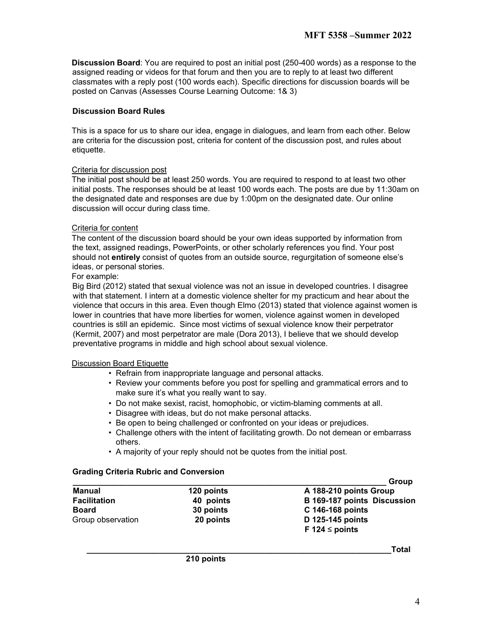**Discussion Board**: You are required to post an initial post (250-400 words) as a response to the assigned reading or videos for that forum and then you are to reply to at least two different classmates with a reply post (100 words each). Specific directions for discussion boards will be posted on Canvas (Assesses Course Learning Outcome: 1& 3)

# **Discussion Board Rules**

This is a space for us to share our idea, engage in dialogues, and learn from each other. Below are criteria for the discussion post, criteria for content of the discussion post, and rules about etiquette.

# Criteria for discussion post

The initial post should be at least 250 words. You are required to respond to at least two other initial posts. The responses should be at least 100 words each. The posts are due by 11:30am on the designated date and responses are due by 1:00pm on the designated date. Our online discussion will occur during class time.

# Criteria for content

The content of the discussion board should be your own ideas supported by information from the text, assigned readings, PowerPoints, or other scholarly references you find. Your post should not **entirely** consist of quotes from an outside source, regurgitation of someone else's ideas, or personal stories.

# For example:

Big Bird (2012) stated that sexual violence was not an issue in developed countries. I disagree with that statement. I intern at a domestic violence shelter for my practicum and hear about the violence that occurs in this area. Even though Elmo (2013) stated that violence against women is lower in countries that have more liberties for women, violence against women in developed countries is still an epidemic. Since most victims of sexual violence know their perpetrator (Kermit, 2007) and most perpetrator are male (Dora 2013), I believe that we should develop preventative programs in middle and high school about sexual violence.

# Discussion Board Etiquette

- Refrain from inappropriate language and personal attacks.
- Review your comments before you post for spelling and grammatical errors and to make sure it's what you really want to say.
- Do not make sexist, racist, homophobic, or victim-blaming comments at all.
- Disagree with ideas, but do not make personal attacks.
- Be open to being challenged or confronted on your ideas or prejudices.
- Challenge others with the intent of facilitating growth. Do not demean or embarrass others.
- A majority of your reply should not be quotes from the initial post.

# **Grading Criteria Rubric and Conversion**

|                     |                                      | Group                       |  |
|---------------------|--------------------------------------|-----------------------------|--|
| Manual              | A 188-210 points Group<br>120 points |                             |  |
| <b>Facilitation</b> | 40 points                            | B 169-187 points Discussion |  |
| <b>Board</b>        | 30 points                            | C 146-168 points            |  |
| Group observation   | 20 points                            | D 125-145 points            |  |
|                     |                                      | F 124 $\le$ points          |  |

**\_\_\_\_\_\_\_\_\_\_\_\_\_\_\_\_\_\_\_\_\_\_\_\_\_\_\_\_\_\_\_\_\_\_\_\_\_\_\_\_\_\_\_\_\_\_\_\_\_\_\_\_\_\_\_\_\_\_\_\_\_\_\_\_\_\_\_\_Total** 

 **210 points**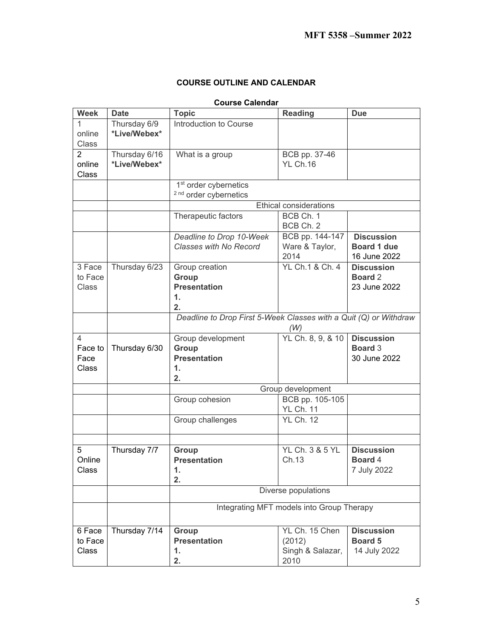# **COURSE OUTLINE AND CALENDAR**

# **Course Calendar**

| <b>Course Calendar</b> |               |                                                                   |                            |                   |  |  |  |
|------------------------|---------------|-------------------------------------------------------------------|----------------------------|-------------------|--|--|--|
| <b>Week</b>            | <b>Date</b>   | <b>Topic</b>                                                      | <b>Reading</b>             | <b>Due</b>        |  |  |  |
| 1                      | Thursday 6/9  | Introduction to Course                                            |                            |                   |  |  |  |
| online                 | *Live/Webex*  |                                                                   |                            |                   |  |  |  |
| <b>Class</b>           |               |                                                                   |                            |                   |  |  |  |
| $\overline{2}$         | Thursday 6/16 | What is a group                                                   | BCB pp. 37-46              |                   |  |  |  |
| online                 | *Live/Webex*  |                                                                   | <b>YL Ch.16</b>            |                   |  |  |  |
| Class                  |               |                                                                   |                            |                   |  |  |  |
|                        |               | 1 <sup>st</sup> order cybernetics                                 |                            |                   |  |  |  |
|                        |               |                                                                   |                            |                   |  |  |  |
|                        |               | <sup>2 nd</sup> order cybernetics                                 |                            |                   |  |  |  |
|                        |               | <b>Ethical considerations</b>                                     |                            |                   |  |  |  |
|                        |               | Therapeutic factors                                               | BCB Ch. 1                  |                   |  |  |  |
|                        |               |                                                                   | BCB Ch. 2                  |                   |  |  |  |
|                        |               | Deadline to Drop 10-Week                                          | BCB pp. 144-147            | <b>Discussion</b> |  |  |  |
|                        |               | Classes with No Record                                            | Ware & Taylor,             | Board 1 due       |  |  |  |
|                        |               |                                                                   | 2014                       | 16 June 2022      |  |  |  |
| 3 Face                 | Thursday 6/23 | Group creation                                                    | YL Ch.1 & Ch. 4            | <b>Discussion</b> |  |  |  |
| to Face                |               | Group                                                             |                            | <b>Board 2</b>    |  |  |  |
| <b>Class</b>           |               | <b>Presentation</b>                                               |                            | 23 June 2022      |  |  |  |
|                        |               | 1.                                                                |                            |                   |  |  |  |
|                        |               | 2.                                                                |                            |                   |  |  |  |
|                        |               | Deadline to Drop First 5-Week Classes with a Quit (Q) or Withdraw |                            |                   |  |  |  |
|                        |               |                                                                   |                            |                   |  |  |  |
| 4                      |               | Group development                                                 | YL Ch. 8, 9, & 10          | <b>Discussion</b> |  |  |  |
| Face to                | Thursday 6/30 | Group                                                             |                            | <b>Board 3</b>    |  |  |  |
| Face                   |               | <b>Presentation</b>                                               |                            | 30 June 2022      |  |  |  |
| Class                  |               | 1.                                                                |                            |                   |  |  |  |
|                        |               |                                                                   |                            |                   |  |  |  |
|                        |               | 2.                                                                |                            |                   |  |  |  |
|                        |               | Group development                                                 |                            |                   |  |  |  |
|                        |               | Group cohesion                                                    | BCB pp. 105-105            |                   |  |  |  |
|                        |               |                                                                   | <b>YL Ch. 11</b>           |                   |  |  |  |
|                        |               | Group challenges                                                  | <b>YL Ch. 12</b>           |                   |  |  |  |
|                        |               |                                                                   |                            |                   |  |  |  |
|                        |               |                                                                   |                            |                   |  |  |  |
| 5                      | Thursday 7/7  | Group                                                             | <b>YL Ch. 3 &amp; 5 YL</b> | <b>Discussion</b> |  |  |  |
| Online                 |               | <b>Presentation</b>                                               | Ch.13                      | Board 4           |  |  |  |
| Class                  |               | 1.                                                                |                            | 7 July 2022       |  |  |  |
|                        |               | 2.                                                                |                            |                   |  |  |  |
|                        |               |                                                                   | Diverse populations        |                   |  |  |  |
|                        |               |                                                                   |                            |                   |  |  |  |
|                        |               | Integrating MFT models into Group Therapy                         |                            |                   |  |  |  |
|                        |               |                                                                   |                            |                   |  |  |  |
| 6 Face                 | Thursday 7/14 | Group                                                             | YL Ch. 15 Chen             | <b>Discussion</b> |  |  |  |
| to Face                |               | <b>Presentation</b>                                               | (2012)                     | <b>Board 5</b>    |  |  |  |
| Class                  |               | 1.                                                                | Singh & Salazar,           | 14 July 2022      |  |  |  |
|                        |               | 2.                                                                | 2010                       |                   |  |  |  |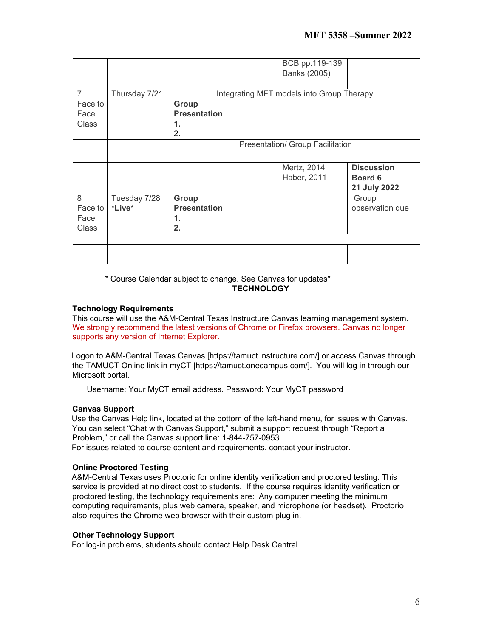|                                            |                        |                                                                                       | BCB pp.119-139<br>Banks (2005) |                                              |  |
|--------------------------------------------|------------------------|---------------------------------------------------------------------------------------|--------------------------------|----------------------------------------------|--|
| $\overline{7}$<br>Face to<br>Face<br>Class | Thursday 7/21          | Integrating MFT models into Group Therapy<br>Group<br><b>Presentation</b><br>1.<br>2. |                                |                                              |  |
|                                            |                        | Presentation/ Group Facilitation                                                      |                                |                                              |  |
|                                            |                        |                                                                                       | Mertz, 2014<br>Haber, 2011     | <b>Discussion</b><br>Board 6<br>21 July 2022 |  |
| 8<br>Face to<br>Face<br>Class              | Tuesday 7/28<br>*Live* | Group<br><b>Presentation</b><br>1.<br>2.                                              |                                | Group<br>observation due                     |  |
|                                            |                        |                                                                                       |                                |                                              |  |
|                                            |                        |                                                                                       |                                |                                              |  |

\* Course Calendar subject to change. See Canvas for updates\* **TECHNOLOGY** 

# **Technology Requirements**

This course will use the A&M-Central Texas Instructure Canvas learning management system. We strongly recommend the latest versions of Chrome or Firefox browsers. Canvas no longer supports any version of Internet Explorer.

Logon to A&M-Central Texas Canvas [https://tamuct.instructure.com/] or access Canvas through the TAMUCT Online link in myCT [https://tamuct.onecampus.com/]. You will log in through our Microsoft portal.

Username: Your MyCT email address. Password: Your MyCT password

# **Canvas Support**

Use the Canvas Help link, located at the bottom of the left-hand menu, for issues with Canvas. You can select "Chat with Canvas Support," submit a support request through "Report a Problem," or call the Canvas support line: 1-844-757-0953.

For issues related to course content and requirements, contact your instructor.

### **Online Proctored Testing**

A&M-Central Texas uses Proctorio for online identity verification and proctored testing. This service is provided at no direct cost to students. If the course requires identity verification or proctored testing, the technology requirements are: Any computer meeting the minimum computing requirements, plus web camera, speaker, and microphone (or headset). Proctorio also requires the Chrome web browser with their custom plug in.

#### **Other Technology Support**

For log-in problems, students should contact Help Desk Central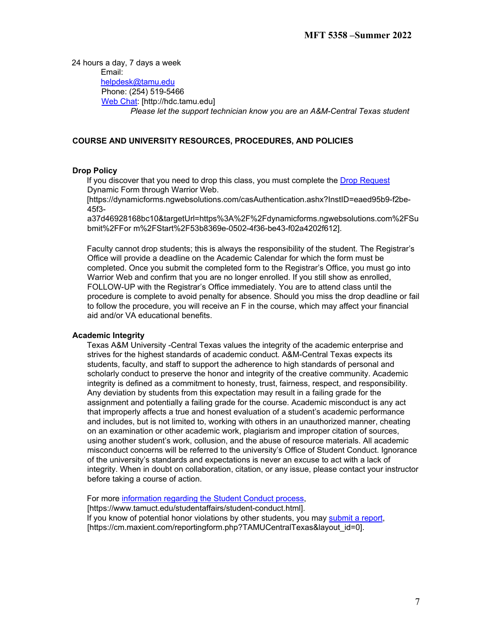24 hours a day, 7 days a week Email: helpdesk@tamu.edu Phone: (254) 519-5466 [Web Chat:](http://hdc.tamu.edu/) [http://hdc.tamu.edu] *Please let the support technician know you are an A&M-Central Texas student*

# **COURSE AND UNIVERSITY RESOURCES, PROCEDURES, AND POLICIES**

# **Drop Policy**

If you discover that you need to drop this class, you must complete the [Drop Request](https://dynamicforms.ngwebsolutions.com/casAuthentication.ashx?InstID=eaed95b9-f2be-45f3-a37d-46928168bc10&targetUrl=https%3A%2F%2Fdynamicforms.ngwebsolutions.com%2FSubmit%2FForm%2FStart%2F53b8369e-0502-4f36-be43-f02a4202f612) Dynamic Form through Warrior Web.

[https://dynamicforms.ngwebsolutions.com/casAuthentication.ashx?InstID=eaed95b9-f2be-45f3-

a37d46928168bc10&targetUrl=https%3A%2F%2Fdynamicforms.ngwebsolutions.com%2FSu bmit%2FFor m%2FStart%2F53b8369e-0502-4f36-be43-f02a4202f612].

Faculty cannot drop students; this is always the responsibility of the student. The Registrar's Office will provide a deadline on the Academic Calendar for which the form must be completed. Once you submit the completed form to the Registrar's Office, you must go into Warrior Web and confirm that you are no longer enrolled. If you still show as enrolled, FOLLOW-UP with the Registrar's Office immediately. You are to attend class until the procedure is complete to avoid penalty for absence. Should you miss the drop deadline or fail to follow the procedure, you will receive an F in the course, which may affect your financial aid and/or VA educational benefits.

#### **Academic Integrity**

Texas A&M University -Central Texas values the integrity of the academic enterprise and strives for the highest standards of academic conduct. A&M-Central Texas expects its students, faculty, and staff to support the adherence to high standards of personal and scholarly conduct to preserve the honor and integrity of the creative community. Academic integrity is defined as a commitment to honesty, trust, fairness, respect, and responsibility. Any deviation by students from this expectation may result in a failing grade for the assignment and potentially a failing grade for the course. Academic misconduct is any act that improperly affects a true and honest evaluation of a student's academic performance and includes, but is not limited to, working with others in an unauthorized manner, cheating on an examination or other academic work, plagiarism and improper citation of sources, using another student's work, collusion, and the abuse of resource materials. All academic misconduct concerns will be referred to the university's Office of Student Conduct. Ignorance of the university's standards and expectations is never an excuse to act with a lack of integrity. When in doubt on collaboration, citation, or any issue, please contact your instructor before taking a course of action.

For more [information regarding the Student Conduct process,](https://www.tamuct.edu/student-affairs/student-conduct.html)

[https://www.tamuct.edu/studentaffairs/student-conduct.html]. If you know of potential honor violations by other students, you may [submit a report,](https://cm.maxient.com/reportingform.php?TAMUCentralTexas&layout_id=0) [https://cm.maxient.com/reportingform.php?TAMUCentralTexas&layout\_id=0].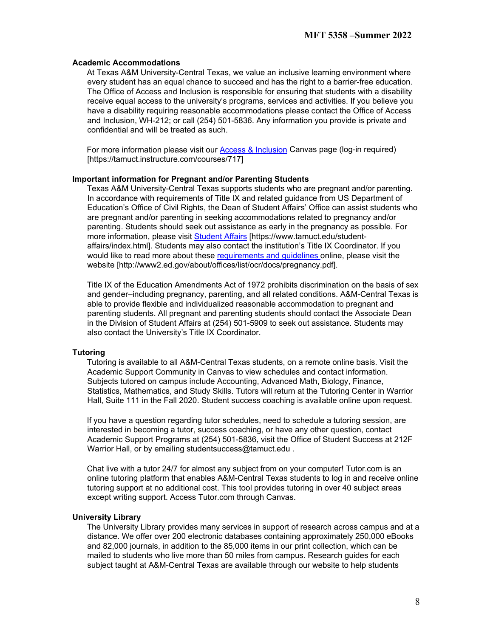### **Academic Accommodations**

At Texas A&M University-Central Texas, we value an inclusive learning environment where every student has an equal chance to succeed and has the right to a barrier-free education. The Office of Access and Inclusion is responsible for ensuring that students with a disability receive equal access to the university's programs, services and activities. If you believe you have a disability requiring reasonable accommodations please contact the Office of Access and Inclusion, WH-212; or call (254) 501-5836. Any information you provide is private and confidential and will be treated as such.

For more information please visit our [Access & Inclusion](https://tamuct.instructure.com/courses/717) [C](https://tamuct.instructure.com/courses/717)anvas page (log-in required) [https://tamuct.instructure.com/courses/717]

#### **Important information for Pregnant and/or Parenting Students**

Texas A&M University-Central Texas supports students who are pregnant and/or parenting. In accordance with requirements of Title IX and related guidance from US Department of Education's Office of Civil Rights, the Dean of Student Affairs' Office can assist students who are pregnant and/or parenting in seeking accommodations related to pregnancy and/or parenting. Students should seek out assistance as early in the pregnancy as possible. For more information, please visit [Student Affairs](https://www.tamuct.edu/student-affairs/index.html) [\[](https://www.tamuct.edu/student-affairs/index.html)https://www.tamuct.edu/studentaffairs/index.html]. Students may also contact the institution's Title IX Coordinator. If you would like to read more about thes[e requirements and guidelines](http://www2.ed.gov/about/offices/list/ocr/docs/pregnancy.pdf) online, please visit the website [http://www2.ed.gov/about/offices/list/ocr/docs/pregnancy.pdf].

Title IX of the Education Amendments Act of 1972 prohibits discrimination on the basis of sex and gender–including pregnancy, parenting, and all related conditions. A&M-Central Texas is able to provide flexible and individualized reasonable accommodation to pregnant and parenting students. All pregnant and parenting students should contact the Associate Dean in the Division of Student Affairs at (254) 501-5909 to seek out assistance. Students may also contact the University's Title IX Coordinator.

#### **Tutoring**

Tutoring is available to all A&M-Central Texas students, on a remote online basis. Visit the Academic Support Community in Canvas to view schedules and contact information. Subjects tutored on campus include Accounting, Advanced Math, Biology, Finance, Statistics, Mathematics, and Study Skills. Tutors will return at the Tutoring Center in Warrior Hall, Suite 111 in the Fall 2020. Student success coaching is available online upon request.

If you have a question regarding tutor schedules, need to schedule a tutoring session, are interested in becoming a tutor, success coaching, or have any other question, contact Academic Support Programs at (254) 501-5836, visit the Office of Student Success at 212F Warrior Hall, or by emailing studentsuccess@tamuct.edu.

Chat live with a tutor 24/7 for almost any subject from on your computer! Tutor.com is an online tutoring platform that enables A&M-Central Texas students to log in and receive online tutoring support at no additional cost. This tool provides tutoring in over 40 subject areas except writing support. Access Tutor.com through Canvas.

#### **University Library**

The University Library provides many services in support of research across campus and at a distance. We offer over 200 electronic databases containing approximately 250,000 eBooks and 82,000 journals, in addition to the 85,000 items in our print collection, which can be mailed to students who live more than 50 miles from campus. Research guides for each subject taught at A&M-Central Texas are available through our website to help students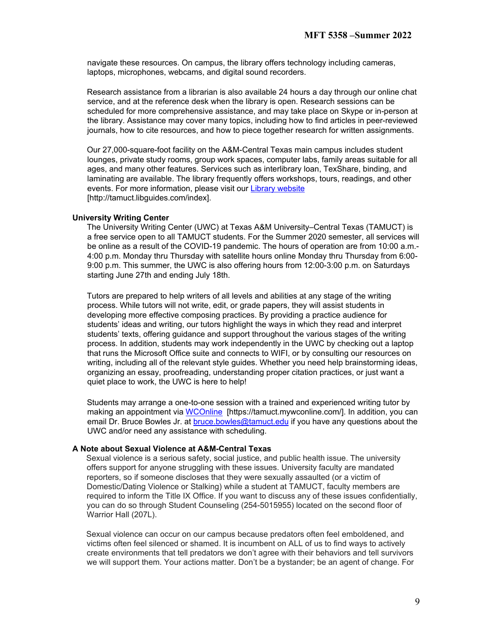navigate these resources. On campus, the library offers technology including cameras, laptops, microphones, webcams, and digital sound recorders.

Research assistance from a librarian is also available 24 hours a day through our online chat service, and at the reference desk when the library is open. Research sessions can be scheduled for more comprehensive assistance, and may take place on Skype or in-person at the library. Assistance may cover many topics, including how to find articles in peer-reviewed journals, how to cite resources, and how to piece together research for written assignments.

Our 27,000-square-foot facility on the A&M-Central Texas main campus includes student lounges, private study rooms, group work spaces, computer labs, family areas suitable for all ages, and many other features. Services such as interlibrary loan, TexShare, binding, and laminating are available. The library frequently offers workshops, tours, readings, and other events. For more information, please visit our [Library website](https://tamuct.libguides.com/index) [http://tamuct.libguides.com/index].

# **University Writing Center**

The University Writing Center (UWC) at Texas A&M University–Central Texas (TAMUCT) is a free service open to all TAMUCT students. For the Summer 2020 semester, all services will be online as a result of the COVID-19 pandemic. The hours of operation are from 10:00 a.m.- 4:00 p.m. Monday thru Thursday with satellite hours online Monday thru Thursday from 6:00- 9:00 p.m. This summer, the UWC is also offering hours from 12:00-3:00 p.m. on Saturdays starting June 27th and ending July 18th.

Tutors are prepared to help writers of all levels and abilities at any stage of the writing process. While tutors will not write, edit, or grade papers, they will assist students in developing more effective composing practices. By providing a practice audience for students' ideas and writing, our tutors highlight the ways in which they read and interpret students' texts, offering guidance and support throughout the various stages of the writing process. In addition, students may work independently in the UWC by checking out a laptop that runs the Microsoft Office suite and connects to WIFI, or by consulting our resources on writing, including all of the relevant style guides. Whether you need help brainstorming ideas, organizing an essay, proofreading, understanding proper citation practices, or just want a quiet place to work, the UWC is here to help!

Students may arrange a one-to-one session with a trained and experienced writing tutor by making an appointment via [WCOnline](https://tamuct.mywconline.com/) [https://tamuct.mywconline.com/]. In addition, you can email Dr. Bruce Bowles Jr. at bruce.bowles@tamuct.edu if you have any questions about the UWC and/or need any assistance with scheduling.

#### **A Note about Sexual Violence at A&M-Central Texas**

Sexual violence is a serious safety, social justice, and public health issue. The university offers support for anyone struggling with these issues. University faculty are mandated reporters, so if someone discloses that they were sexually assaulted (or a victim of Domestic/Dating Violence or Stalking) while a student at TAMUCT, faculty members are required to inform the Title IX Office. If you want to discuss any of these issues confidentially, you can do so through Student Counseling (254-5015955) located on the second floor of Warrior Hall (207L).

Sexual violence can occur on our campus because predators often feel emboldened, and victims often feel silenced or shamed. It is incumbent on ALL of us to find ways to actively create environments that tell predators we don't agree with their behaviors and tell survivors we will support them. Your actions matter. Don't be a bystander; be an agent of change. For